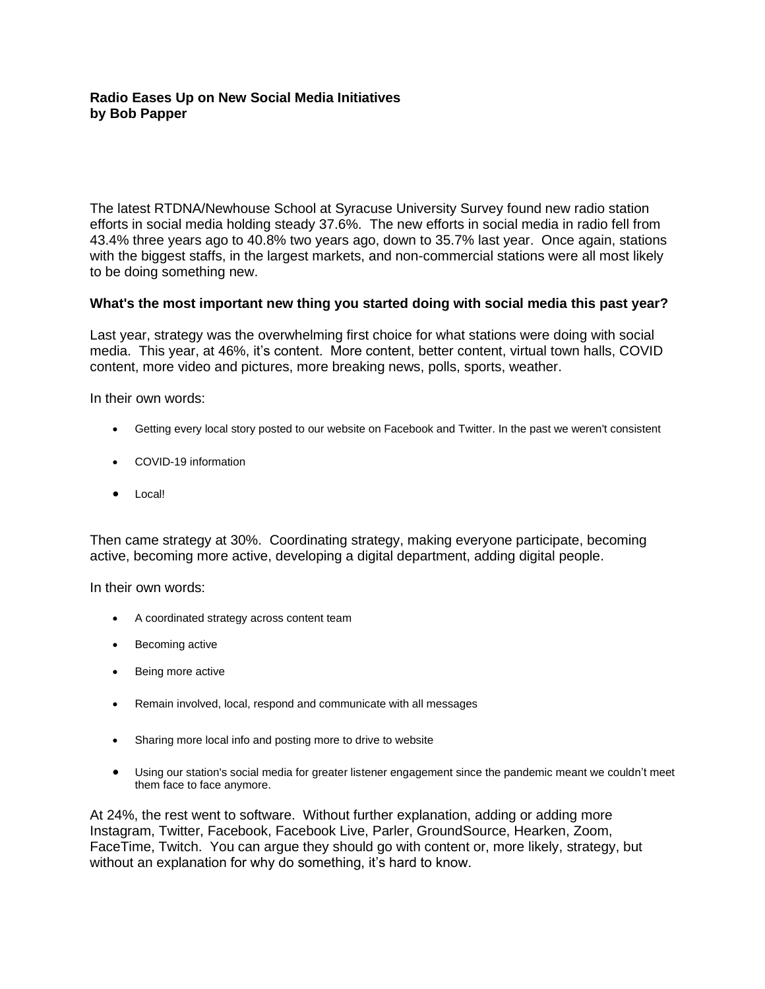## **Radio Eases Up on New Social Media Initiatives by Bob Papper**

The latest RTDNA/Newhouse School at Syracuse University Survey found new radio station efforts in social media holding steady 37.6%. The new efforts in social media in radio fell from 43.4% three years ago to 40.8% two years ago, down to 35.7% last year. Once again, stations with the biggest staffs, in the largest markets, and non-commercial stations were all most likely to be doing something new.

## **What's the most important new thing you started doing with social media this past year?**

Last year, strategy was the overwhelming first choice for what stations were doing with social media. This year, at 46%, it's content. More content, better content, virtual town halls, COVID content, more video and pictures, more breaking news, polls, sports, weather.

In their own words:

- Getting every local story posted to our website on Facebook and Twitter. In the past we weren't consistent
- COVID-19 information
- Local!

Then came strategy at 30%. Coordinating strategy, making everyone participate, becoming active, becoming more active, developing a digital department, adding digital people.

In their own words:

- A coordinated strategy across content team
- Becoming active
- Being more active
- Remain involved, local, respond and communicate with all messages
- Sharing more local info and posting more to drive to website
- Using our station's social media for greater listener engagement since the pandemic meant we couldn't meet them face to face anymore.

At 24%, the rest went to software. Without further explanation, adding or adding more Instagram, Twitter, Facebook, Facebook Live, Parler, GroundSource, Hearken, Zoom, FaceTime, Twitch. You can argue they should go with content or, more likely, strategy, but without an explanation for why do something, it's hard to know.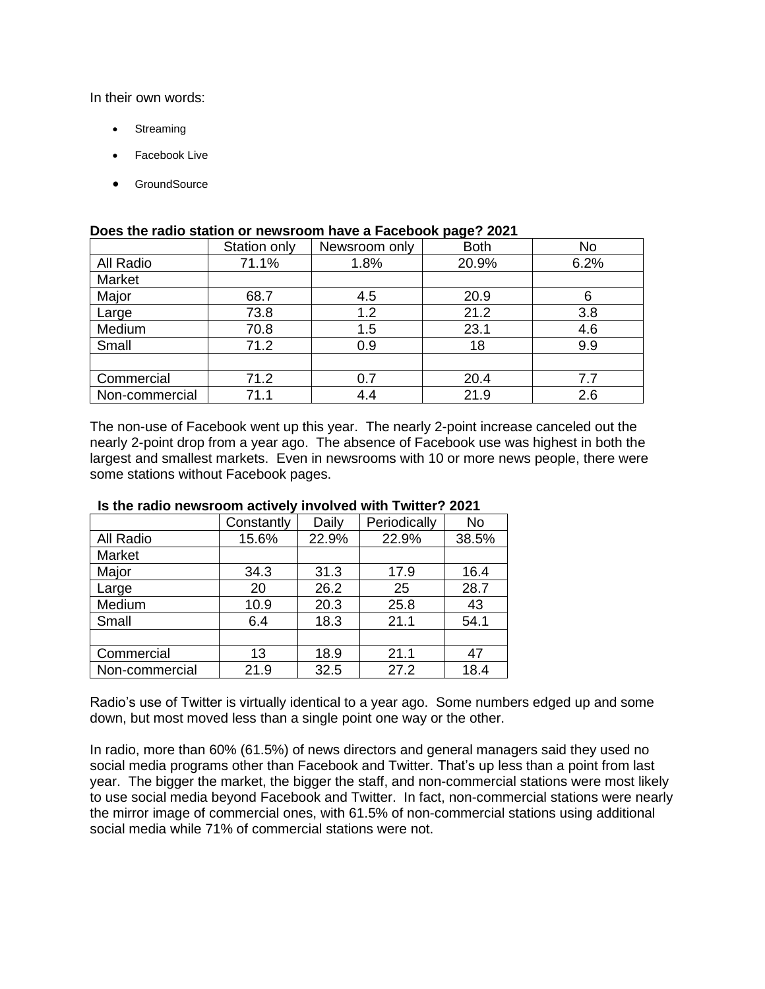In their own words:

- **Streaming**
- Facebook Live
- GroundSource

|                | Station only | Newsroom only | .<br><b>Both</b> | <b>No</b> |
|----------------|--------------|---------------|------------------|-----------|
| All Radio      | 71.1%        | 1.8%          | 20.9%            | 6.2%      |
| Market         |              |               |                  |           |
| Major          | 68.7         | 4.5           | 20.9             |           |
| Large          | 73.8         | 1.2           | 21.2             | 3.8       |
| Medium         | 70.8         | 1.5           | 23.1             | 4.6       |
| Small          | 71.2         | 0.9           | 18               | 9.9       |
|                |              |               |                  |           |
| Commercial     | 71.2         | 0.7           | 20.4             | 7.7       |
| Non-commercial | 71.1         | 4.4           | 21.9             | 2.6       |

### **Does the radio station or newsroom have a Facebook page? 2021**

The non-use of Facebook went up this year. The nearly 2-point increase canceled out the nearly 2-point drop from a year ago. The absence of Facebook use was highest in both the largest and smallest markets. Even in newsrooms with 10 or more news people, there were some stations without Facebook pages.

|                | Constantly | Daily | Periodically | <b>No</b> |
|----------------|------------|-------|--------------|-----------|
| All Radio      | 15.6%      | 22.9% | 22.9%        | 38.5%     |
| Market         |            |       |              |           |
| Major          | 34.3       | 31.3  | 17.9         | 16.4      |
| Large          | 20         | 26.2  | 25           | 28.7      |
| Medium         | 10.9       | 20.3  | 25.8         | 43        |
| Small          | 6.4        | 18.3  | 21.1         | 54.1      |
|                |            |       |              |           |
| Commercial     | 13         | 18.9  | 21.1         | 47        |
| Non-commercial | 21.9       | 32.5  | 27.2         | 18.4      |

#### **Is the radio newsroom actively involved with Twitter? 2021**

Radio's use of Twitter is virtually identical to a year ago. Some numbers edged up and some down, but most moved less than a single point one way or the other.

In radio, more than 60% (61.5%) of news directors and general managers said they used no social media programs other than Facebook and Twitter. That's up less than a point from last year. The bigger the market, the bigger the staff, and non-commercial stations were most likely to use social media beyond Facebook and Twitter. In fact, non-commercial stations were nearly the mirror image of commercial ones, with 61.5% of non-commercial stations using additional social media while 71% of commercial stations were not.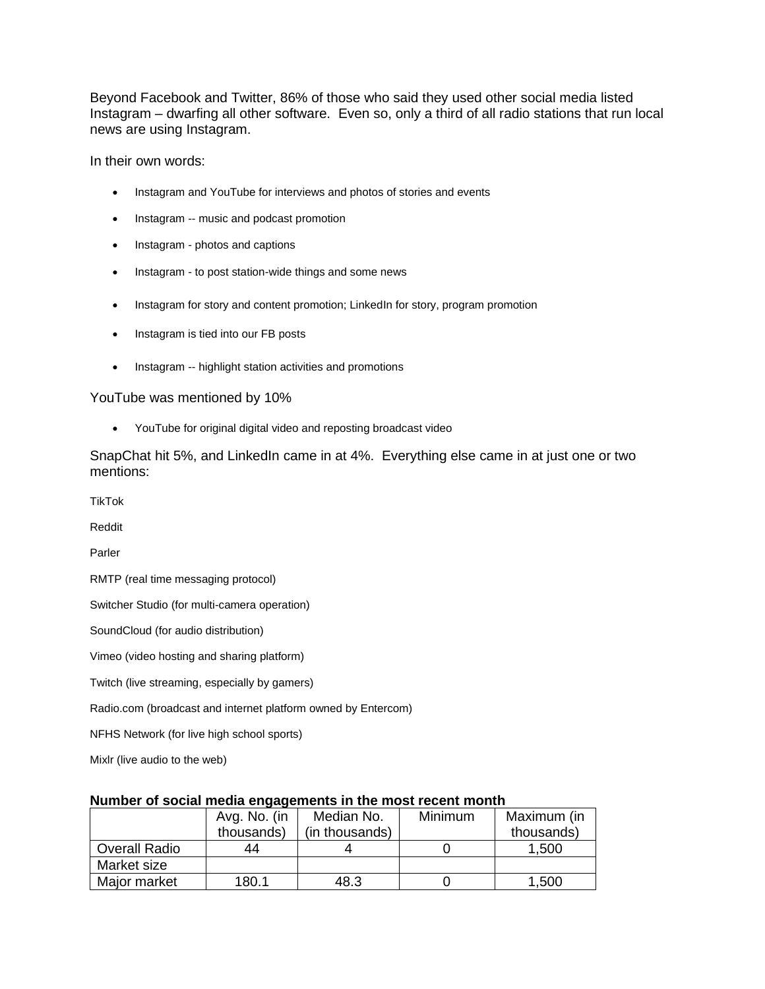Beyond Facebook and Twitter, 86% of those who said they used other social media listed Instagram – dwarfing all other software. Even so, only a third of all radio stations that run local news are using Instagram.

In their own words:

- Instagram and YouTube for interviews and photos of stories and events
- Instagram -- music and podcast promotion
- Instagram photos and captions
- Instagram to post station-wide things and some news
- Instagram for story and content promotion; LinkedIn for story, program promotion
- Instagram is tied into our FB posts
- Instagram -- highlight station activities and promotions

YouTube was mentioned by 10%

• YouTube for original digital video and reposting broadcast video

SnapChat hit 5%, and LinkedIn came in at 4%. Everything else came in at just one or two mentions:

TikTok

Reddit

Parler

RMTP (real time messaging protocol)

Switcher Studio (for multi-camera operation)

SoundCloud (for audio distribution)

Vimeo (video hosting and sharing platform)

Twitch (live streaming, especially by gamers)

Radio.com (broadcast and internet platform owned by Entercom)

NFHS Network (for live high school sports)

Mixlr (live audio to the web)

| - -                  |              |                |                |             |
|----------------------|--------------|----------------|----------------|-------------|
|                      | Avg. No. (in | Median No.     | <b>Minimum</b> | Maximum (in |
|                      | thousands)   | (in thousands) |                | thousands)  |
| <b>Overall Radio</b> | 44           |                |                | 1,500       |
| Market size          |              |                |                |             |
| Major market         | 180.1        | 48.3           |                | 1,500       |

# **Number of social media engagements in the most recent month**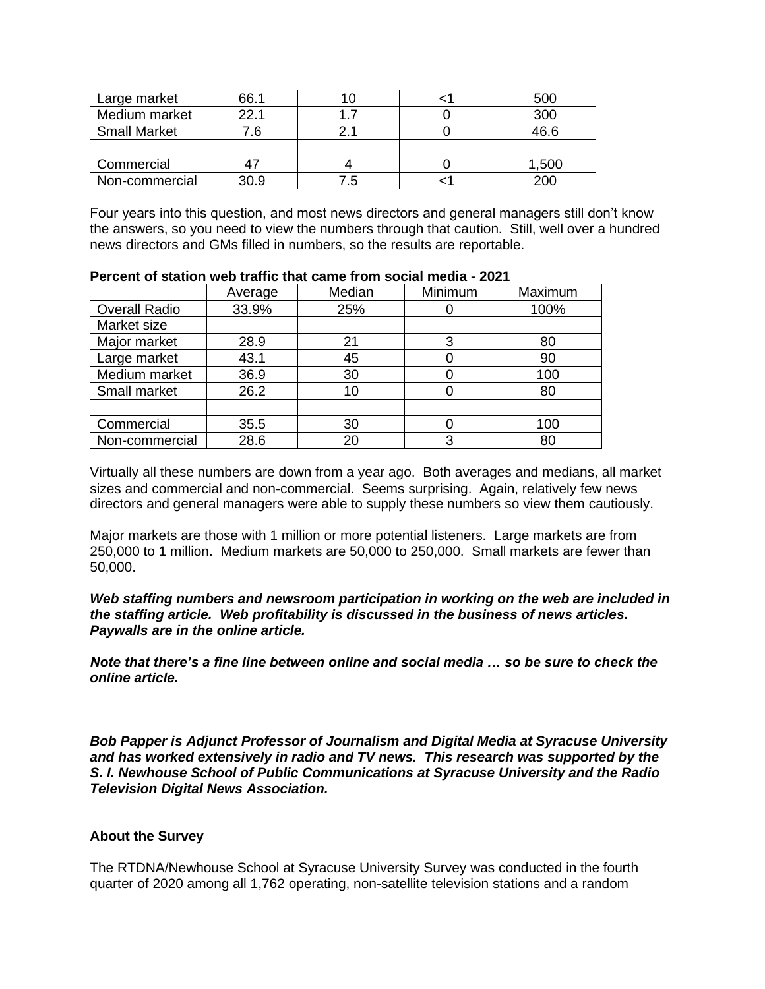| Large market        | 66.1 |     | 500   |
|---------------------|------|-----|-------|
| Medium market       | 22.1 |     | 300   |
| <b>Small Market</b> | ′.6  |     | 46.6  |
|                     |      |     |       |
| Commercial          |      |     | 1,500 |
| Non-commercial      | 30.9 | 7.5 |       |

Four years into this question, and most news directors and general managers still don't know the answers, so you need to view the numbers through that caution. Still, well over a hundred news directors and GMs filled in numbers, so the results are reportable.

|                      | Average | Median | Minimum | Maximum |
|----------------------|---------|--------|---------|---------|
| <b>Overall Radio</b> | 33.9%   | 25%    |         | 100%    |
| Market size          |         |        |         |         |
| Major market         | 28.9    | 21     | 3       | 80      |
| Large market         | 43.1    | 45     |         | 90      |
| Medium market        | 36.9    | 30     | 0       | 100     |
| Small market         | 26.2    | 10     | 0       | 80      |
|                      |         |        |         |         |
| Commercial           | 35.5    | 30     |         | 100     |
| Non-commercial       | 28.6    | 20     | 3       | 80      |

#### **Percent of station web traffic that came from social media - 2021**

Virtually all these numbers are down from a year ago. Both averages and medians, all market sizes and commercial and non-commercial. Seems surprising. Again, relatively few news directors and general managers were able to supply these numbers so view them cautiously.

Major markets are those with 1 million or more potential listeners. Large markets are from 250,000 to 1 million. Medium markets are 50,000 to 250,000. Small markets are fewer than 50,000.

*Web staffing numbers and newsroom participation in working on the web are included in the staffing article. Web profitability is discussed in the business of news articles. Paywalls are in the online article.*

*Note that there's a fine line between online and social media … so be sure to check the online article.* 

*Bob Papper is Adjunct Professor of Journalism and Digital Media at Syracuse University and has worked extensively in radio and TV news. This research was supported by the S. I. Newhouse School of Public Communications at Syracuse University and the Radio Television Digital News Association.*

### **About the Survey**

The RTDNA/Newhouse School at Syracuse University Survey was conducted in the fourth quarter of 2020 among all 1,762 operating, non-satellite television stations and a random